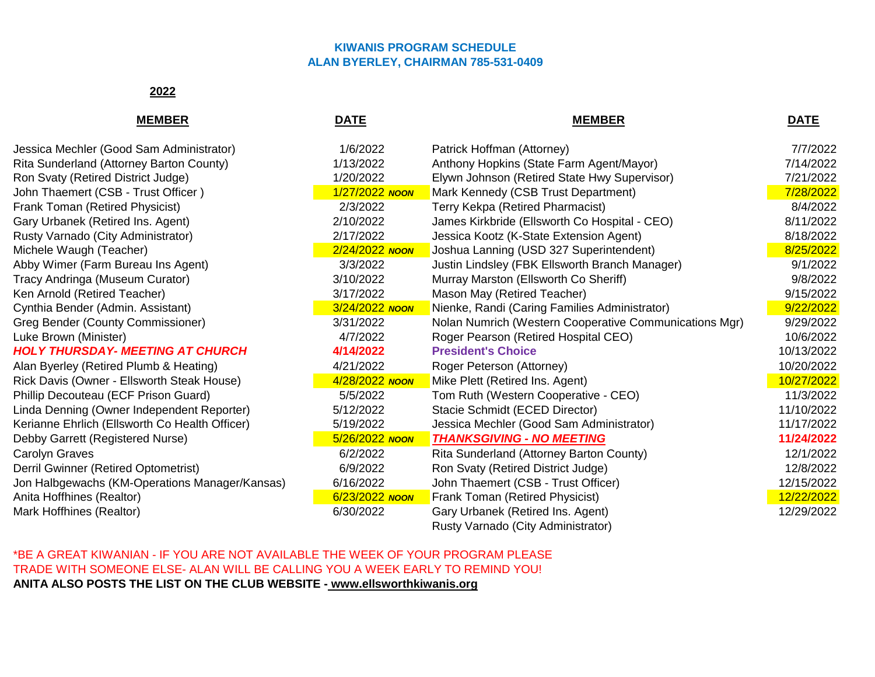## **KIWANIS PROGRAM SCHEDULE ALAN BYERLEY, CHAIRMAN 785-531-0409**

## **2022**

| <b>MEMBER</b>                                  | <b>DATE</b>    | <b>MEMBER</b>                                          | <u>DATE</u> |
|------------------------------------------------|----------------|--------------------------------------------------------|-------------|
| Jessica Mechler (Good Sam Administrator)       | 1/6/2022       | Patrick Hoffman (Attorney)                             | 7/7/2022    |
| Rita Sunderland (Attorney Barton County)       | 1/13/2022      | Anthony Hopkins (State Farm Agent/Mayor)               | 7/14/2022   |
| Ron Svaty (Retired District Judge)             | 1/20/2022      | Elywn Johnson (Retired State Hwy Supervisor)           | 7/21/2022   |
| John Thaemert (CSB - Trust Officer)            | 1/27/2022 NOON | Mark Kennedy (CSB Trust Department)                    | 7/28/2022   |
| Frank Toman (Retired Physicist)                | 2/3/2022       | Terry Kekpa (Retired Pharmacist)                       | 8/4/2022    |
| Gary Urbanek (Retired Ins. Agent)              | 2/10/2022      | James Kirkbride (Ellsworth Co Hospital - CEO)          | 8/11/2022   |
| Rusty Varnado (City Administrator)             | 2/17/2022      | Jessica Kootz (K-State Extension Agent)                | 8/18/2022   |
| Michele Waugh (Teacher)                        | 2/24/2022 NOON | Joshua Lanning (USD 327 Superintendent)                | 8/25/2022   |
| Abby Wimer (Farm Bureau Ins Agent)             | 3/3/2022       | Justin Lindsley (FBK Ellsworth Branch Manager)         | 9/1/2022    |
| Tracy Andringa (Museum Curator)                | 3/10/2022      | Murray Marston (Ellsworth Co Sheriff)                  | 9/8/2022    |
| Ken Arnold (Retired Teacher)                   | 3/17/2022      | Mason May (Retired Teacher)                            | 9/15/2022   |
| Cynthia Bender (Admin. Assistant)              | 3/24/2022 NOON | Nienke, Randi (Caring Families Administrator)          | 9/22/2022   |
| Greg Bender (County Commissioner)              | 3/31/2022      | Nolan Numrich (Western Cooperative Communications Mgr) | 9/29/2022   |
| Luke Brown (Minister)                          | 4/7/2022       | Roger Pearson (Retired Hospital CEO)                   | 10/6/2022   |
| <b>HOLY THURSDAY- MEETING AT CHURCH</b>        | 4/14/2022      | <b>President's Choice</b>                              | 10/13/2022  |
| Alan Byerley (Retired Plumb & Heating)         | 4/21/2022      | Roger Peterson (Attorney)                              | 10/20/2022  |
| Rick Davis (Owner - Ellsworth Steak House)     | 4/28/2022 NOON | Mike Plett (Retired Ins. Agent)                        | 10/27/2022  |
| Phillip Decouteau (ECF Prison Guard)           | 5/5/2022       | Tom Ruth (Western Cooperative - CEO)                   | 11/3/2022   |
| Linda Denning (Owner Independent Reporter)     | 5/12/2022      | Stacie Schmidt (ECED Director)                         | 11/10/2022  |
| Kerianne Ehrlich (Ellsworth Co Health Officer) | 5/19/2022      | Jessica Mechler (Good Sam Administrator)               | 11/17/2022  |
| Debby Garrett (Registered Nurse)               | 5/26/2022 NOON | <b>THANKSGIVING - NO MEETING</b>                       | 11/24/2022  |
| Carolyn Graves                                 | 6/2/2022       | Rita Sunderland (Attorney Barton County)               | 12/1/2022   |
| Derril Gwinner (Retired Optometrist)           | 6/9/2022       | Ron Svaty (Retired District Judge)                     | 12/8/2022   |
| Jon Halbgewachs (KM-Operations Manager/Kansas) | 6/16/2022      | John Thaemert (CSB - Trust Officer)                    | 12/15/2022  |
| Anita Hoffhines (Realtor)                      | 6/23/2022 NOON | Frank Toman (Retired Physicist)                        | 12/22/2022  |
| Mark Hoffhines (Realtor)                       | 6/30/2022      | Gary Urbanek (Retired Ins. Agent)                      | 12/29/2022  |

Rusty Varnado (City Administrator)

\*BE A GREAT KIWANIAN - IF YOU ARE NOT AVAILABLE THE WEEK OF YOUR PROGRAM PLEASE TRADE WITH SOMEONE ELSE- ALAN WILL BE CALLING YOU A WEEK EARLY TO REMIND YOU! **ANITA ALSO POSTS THE LIST ON THE CLUB WEBSITE - www.ellsworthkiwanis.org**